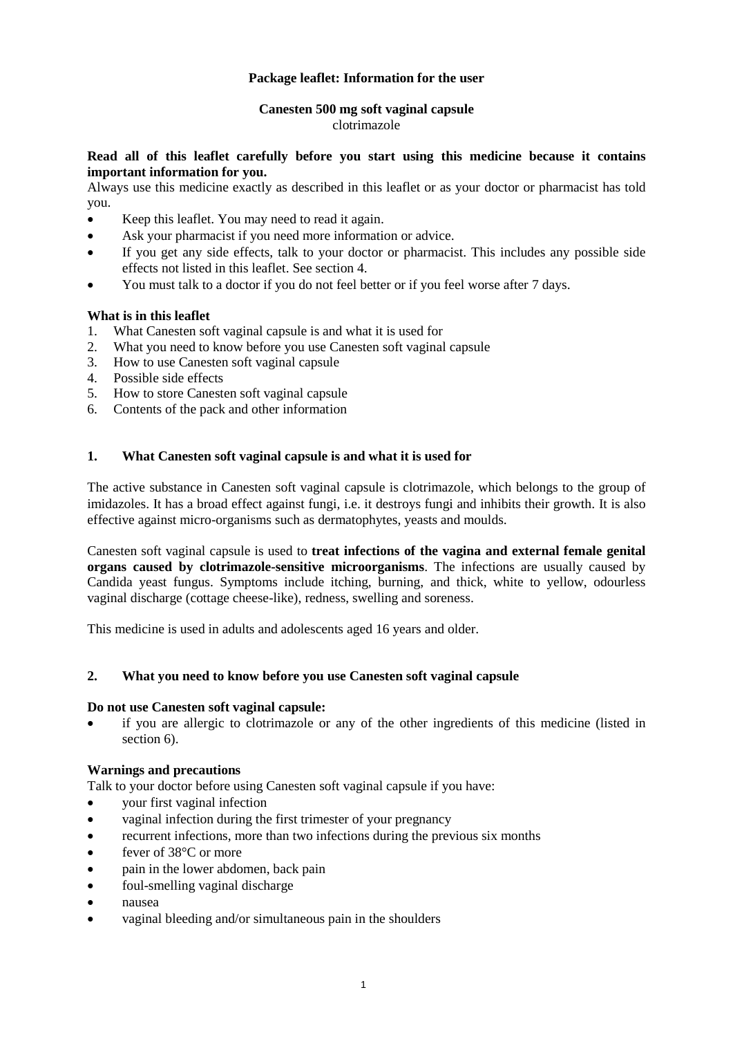# **Package leaflet: Information for the user**

#### **Canesten 500 mg soft vaginal capsule** clotrimazole

# **Read all of this leaflet carefully before you start using this medicine because it contains important information for you.**

Always use this medicine exactly as described in this leaflet or as your doctor or pharmacist has told you.

- Keep this leaflet. You may need to read it again.
- Ask your pharmacist if you need more information or advice.
- If you get any side effects, talk to your doctor or pharmacist. This includes any possible side effects not listed in this leaflet. See section 4.
- You must talk to a doctor if you do not feel better or if you feel worse after 7 days.

# **What is in this leaflet**

- 1. What Canesten soft vaginal capsule is and what it is used for
- 2. What you need to know before you use Canesten soft vaginal capsule
- 3. How to use Canesten soft vaginal capsule
- 4. Possible side effects
- 5. How to store Canesten soft vaginal capsule
- 6. Contents of the pack and other information

# **1. What Canesten soft vaginal capsule is and what it is used for**

The active substance in Canesten soft vaginal capsule is clotrimazole, which belongs to the group of imidazoles. It has a broad effect against fungi, i.e. it destroys fungi and inhibits their growth. It is also effective against micro-organisms such as dermatophytes, yeasts and moulds.

Canesten soft vaginal capsule is used to **treat infections of the vagina and external female genital organs caused by clotrimazole-sensitive microorganisms**. The infections are usually caused by Candida yeast fungus. Symptoms include itching, burning, and thick, white to yellow, odourless vaginal discharge (cottage cheese-like), redness, swelling and soreness.

This medicine is used in adults and adolescents aged 16 years and older.

## **2. What you need to know before you use Canesten soft vaginal capsule**

## **Do not use Canesten soft vaginal capsule:**

 if you are allergic to clotrimazole or any of the other ingredients of this medicine (listed in section 6).

## **Warnings and precautions**

Talk to your doctor before using Canesten soft vaginal capsule if you have:

- your first vaginal infection
- vaginal infection during the first trimester of your pregnancy
- recurrent infections, more than two infections during the previous six months
- fever of 38°C or more
- pain in the lower abdomen, back pain
- foul-smelling vaginal discharge
- nausea
- vaginal bleeding and/or simultaneous pain in the shoulders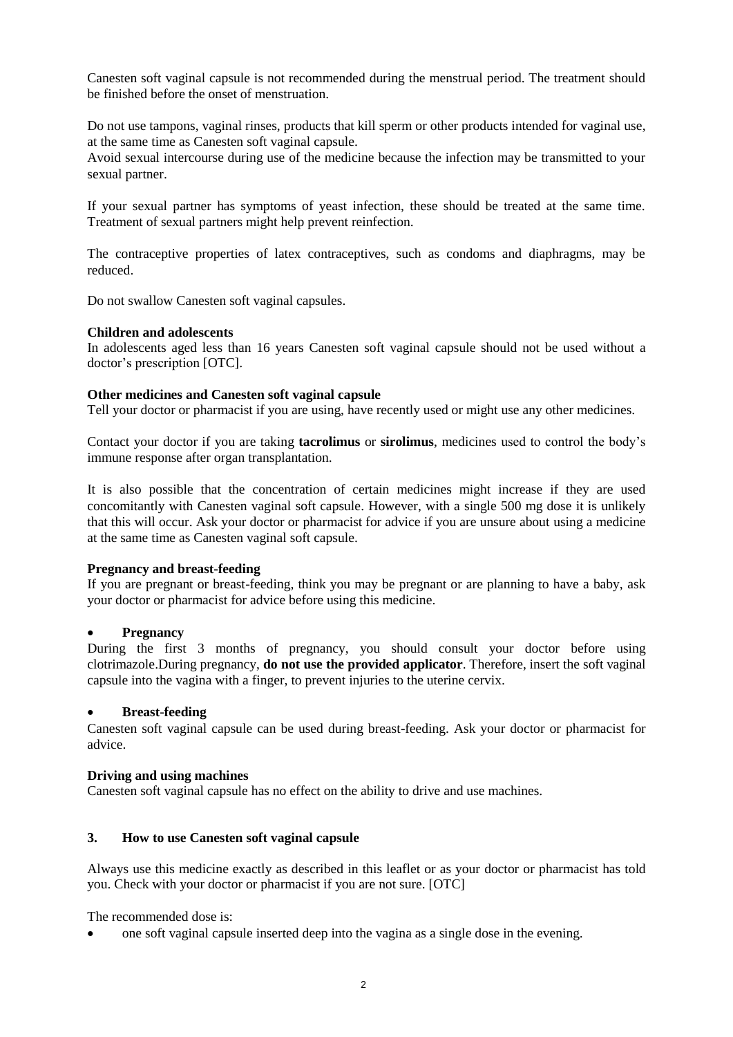Canesten soft vaginal capsule is not recommended during the menstrual period. The treatment should be finished before the onset of menstruation.

Do not use tampons, vaginal rinses, products that kill sperm or other products intended for vaginal use, at the same time as Canesten soft vaginal capsule.

Avoid sexual intercourse during use of the medicine because the infection may be transmitted to your sexual partner.

If your sexual partner has symptoms of yeast infection, these should be treated at the same time. Treatment of sexual partners might help prevent reinfection.

The contraceptive properties of latex contraceptives, such as condoms and diaphragms, may be reduced.

Do not swallow Canesten soft vaginal capsules.

#### **Children and adolescents**

In adolescents aged less than 16 years Canesten soft vaginal capsule should not be used without a doctor's prescription [OTC].

#### **Other medicines and Canesten soft vaginal capsule**

Tell your doctor or pharmacist if you are using, have recently used or might use any other medicines.

Contact your doctor if you are taking **tacrolimus** or **sirolimus**, medicines used to control the body's immune response after organ transplantation.

It is also possible that the concentration of certain medicines might increase if they are used concomitantly with Canesten vaginal soft capsule. However, with a single 500 mg dose it is unlikely that this will occur. Ask your doctor or pharmacist for advice if you are unsure about using a medicine at the same time as Canesten vaginal soft capsule.

## **Pregnancy and breast-feeding**

If you are pregnant or breast-feeding, think you may be pregnant or are planning to have a baby, ask your doctor or pharmacist for advice before using this medicine.

## **Pregnancy**

During the first 3 months of pregnancy, you should consult your doctor before using clotrimazole.During pregnancy, **do not use the provided applicator**. Therefore, insert the soft vaginal capsule into the vagina with a finger, to prevent injuries to the uterine cervix.

## **Breast-feeding**

Canesten soft vaginal capsule can be used during breast-feeding. Ask your doctor or pharmacist for advice.

#### **Driving and using machines**

Canesten soft vaginal capsule has no effect on the ability to drive and use machines.

#### **3. How to use Canesten soft vaginal capsule**

Always use this medicine exactly as described in this leaflet or as your doctor or pharmacist has told you. Check with your doctor or pharmacist if you are not sure. [OTC]

The recommended dose is:

one soft vaginal capsule inserted deep into the vagina as a single dose in the evening.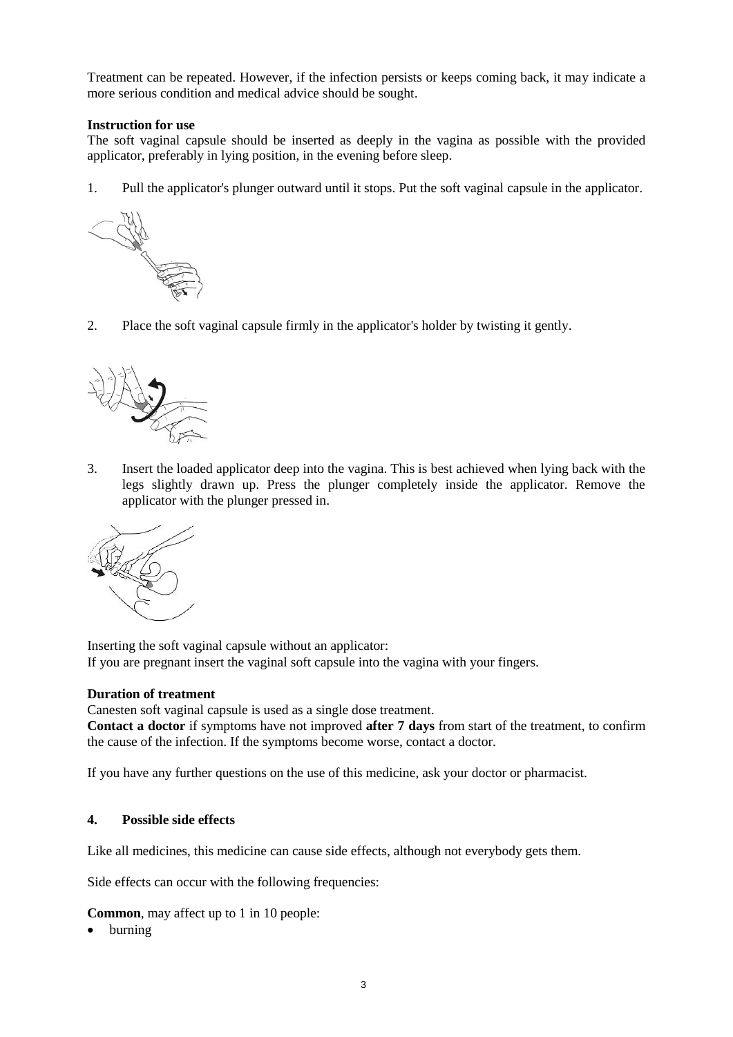Treatment can be repeated. However, if the infection persists or keeps coming back, it may indicate a more serious condition and medical advice should be sought.

# **Instruction for use**

The soft vaginal capsule should be inserted as deeply in the vagina as possible with the provided applicator, preferably in lying position, in the evening before sleep.

1. Pull the applicator's plunger outward until it stops. Put the soft vaginal capsule in the applicator.



2. Place the soft vaginal capsule firmly in the applicator's holder by twisting it gently.



3. Insert the loaded applicator deep into the vagina. This is best achieved when lying back with the legs slightly drawn up. Press the plunger completely inside the applicator. Remove the applicator with the plunger pressed in.



Inserting the soft vaginal capsule without an applicator: If you are pregnant insert the vaginal soft capsule into the vagina with your fingers.

## **Duration of treatment**

Canesten soft vaginal capsule is used as a single dose treatment.

**Contact a doctor** if symptoms have not improved **after 7 days** from start of the treatment, to confirm the cause of the infection. If the symptoms become worse, contact a doctor.

If you have any further questions on the use of this medicine, ask your doctor or pharmacist.

## **4. Possible side effects**

Like all medicines, this medicine can cause side effects, although not everybody gets them.

Side effects can occur with the following frequencies:

**Common**, may affect up to 1 in 10 people:

• burning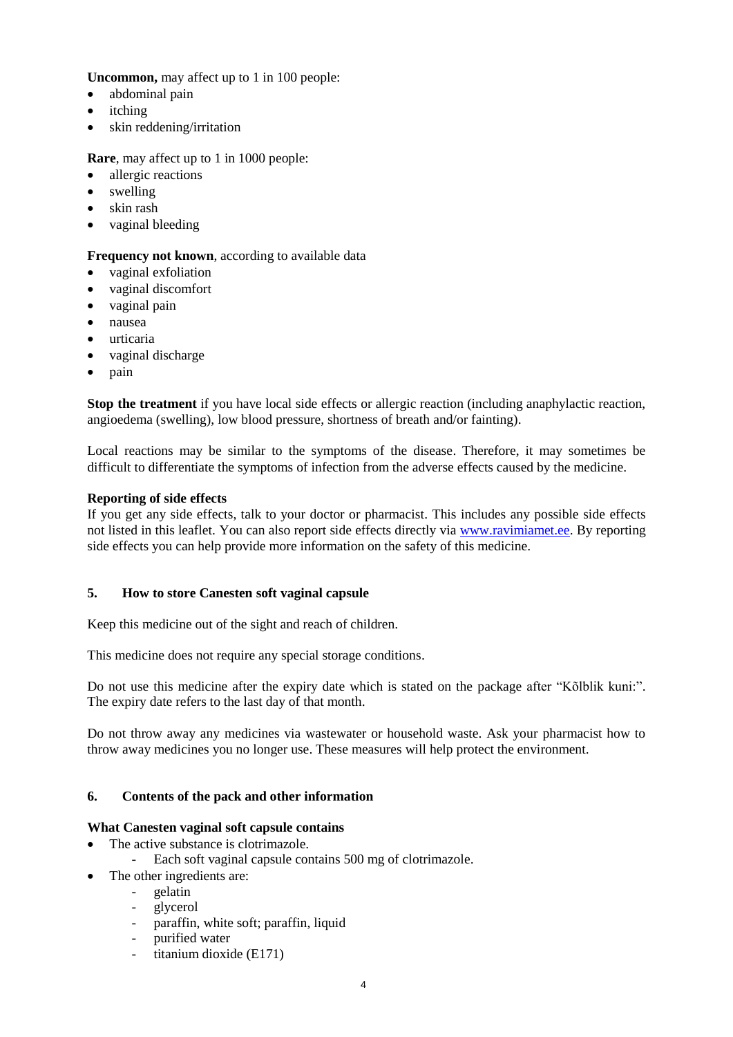**Uncommon,** may affect up to 1 in 100 people:

- abdominal pain
- itching
- skin reddening/irritation

**Rare**, may affect up to 1 in 1000 people:

- allergic reactions
- swelling
- skin rash
- vaginal bleeding

# **Frequency not known**, according to available data

- vaginal exfoliation
- vaginal discomfort
- vaginal pain
- nausea
- urticaria
- vaginal discharge
- $\bullet$  pain

**Stop the treatment** if you have local side effects or allergic reaction (including anaphylactic reaction, angioedema (swelling), low blood pressure, shortness of breath and/or fainting).

Local reactions may be similar to the symptoms of the disease. Therefore, it may sometimes be difficult to differentiate the symptoms of infection from the adverse effects caused by the medicine.

## **Reporting of side effects**

If you get any side effects, talk to your doctor or pharmacist. This includes any possible side effects not listed in this leaflet. You can also report side effects directly via www.ravimiamet.ee. By reporting side effects you can help provide more information on the safety of this medicine.

## **5. How to store Canesten soft vaginal capsule**

Keep this medicine out of the sight and reach of children.

This medicine does not require any special storage conditions.

Do not use this medicine after the expiry date which is stated on the package after "Kõlblik kuni:". The expiry date refers to the last day of that month.

Do not throw away any medicines via wastewater or household waste. Ask your pharmacist how to throw away medicines you no longer use. These measures will help protect the environment.

## **6. Contents of the pack and other information**

## **What Canesten vaginal soft capsule contains**

- The active substance is clotrimazole.
	- Each soft vaginal capsule contains 500 mg of clotrimazole.
- The other ingredients are:
	- gelatin
	- glycerol
	- paraffin, white soft; paraffin, liquid
	- purified water
	- titanium dioxide (E171)